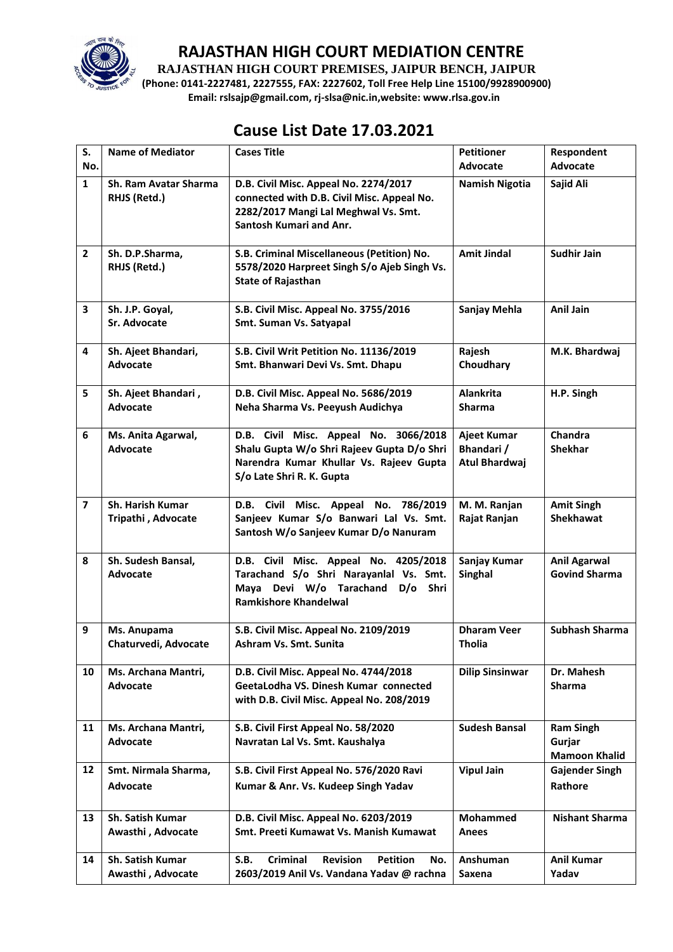

**RAJASTHAN HIGH COURT PREMISES, JAIPUR BENCH, JAIPUR**

**(Phone: 0141-2227481, 2227555, FAX: 2227602, Toll Free Help Line 15100/9928900900) Email: rslsajp@gmail.com, rj-slsa@nic.in,website: www.rlsa.gov.in**

# **Cause List Date 17.03.2021**

| S.             | <b>Name of Mediator</b>                      | <b>Cases Title</b>                                                                                                                                          | <b>Petitioner</b>                          | Respondent                                         |
|----------------|----------------------------------------------|-------------------------------------------------------------------------------------------------------------------------------------------------------------|--------------------------------------------|----------------------------------------------------|
| No.            |                                              |                                                                                                                                                             | <b>Advocate</b>                            | Advocate                                           |
| $\mathbf{1}$   | Sh. Ram Avatar Sharma<br>RHJS (Retd.)        | D.B. Civil Misc. Appeal No. 2274/2017<br>connected with D.B. Civil Misc. Appeal No.<br>2282/2017 Mangi Lal Meghwal Vs. Smt.<br>Santosh Kumari and Anr.      | <b>Namish Nigotia</b>                      | Sajid Ali                                          |
| $\overline{2}$ | Sh. D.P.Sharma,<br>RHJS (Retd.)              | S.B. Criminal Miscellaneous (Petition) No.<br>5578/2020 Harpreet Singh S/o Ajeb Singh Vs.<br><b>State of Rajasthan</b>                                      | <b>Amit Jindal</b>                         | Sudhir Jain                                        |
| 3              | Sh. J.P. Goyal,<br><b>Sr. Advocate</b>       | S.B. Civil Misc. Appeal No. 3755/2016<br>Smt. Suman Vs. Satyapal                                                                                            | Sanjay Mehla                               | <b>Anil Jain</b>                                   |
| 4              | Sh. Ajeet Bhandari,<br><b>Advocate</b>       | S.B. Civil Writ Petition No. 11136/2019<br>Smt. Bhanwari Devi Vs. Smt. Dhapu                                                                                | Rajesh<br>Choudhary                        | M.K. Bhardwaj                                      |
| 5              | Sh. Ajeet Bhandari,<br><b>Advocate</b>       | D.B. Civil Misc. Appeal No. 5686/2019<br>Neha Sharma Vs. Peeyush Audichya                                                                                   | Alankrita<br><b>Sharma</b>                 | H.P. Singh                                         |
| 6              | Ms. Anita Agarwal,<br>Advocate               | D.B. Civil Misc. Appeal No. 3066/2018<br>Shalu Gupta W/o Shri Rajeev Gupta D/o Shri<br>Narendra Kumar Khullar Vs. Rajeev Gupta<br>S/o Late Shri R. K. Gupta | Ajeet Kumar<br>Bhandari /<br>Atul Bhardwaj | Chandra<br><b>Shekhar</b>                          |
| $\overline{7}$ | Sh. Harish Kumar<br>Tripathi, Advocate       | D.B. Civil Misc. Appeal No. 786/2019<br>Sanjeev Kumar S/o Banwari Lal Vs. Smt.<br>Santosh W/o Sanjeev Kumar D/o Nanuram                                     | M. M. Ranjan<br>Rajat Ranjan               | <b>Amit Singh</b><br><b>Shekhawat</b>              |
| 8              | Sh. Sudesh Bansal,<br><b>Advocate</b>        | D.B. Civil Misc. Appeal No. 4205/2018<br>Tarachand S/o Shri Narayanlal Vs. Smt.<br>Maya Devi W/o Tarachand D/o Shri<br><b>Ramkishore Khandelwal</b>         | Sanjay Kumar<br>Singhal                    | <b>Anil Agarwal</b><br><b>Govind Sharma</b>        |
| 9              | Ms. Anupama<br>Chaturvedi, Advocate          | S.B. Civil Misc. Appeal No. 2109/2019<br>Ashram Vs. Smt. Sunita                                                                                             | <b>Dharam Veer</b><br><b>Tholia</b>        | <b>Subhash Sharma</b>                              |
| 10             | Ms. Archana Mantri,<br><b>Advocate</b>       | D.B. Civil Misc. Appeal No. 4744/2018<br>GeetaLodha VS. Dinesh Kumar connected<br>with D.B. Civil Misc. Appeal No. 208/2019                                 | <b>Dilip Sinsinwar</b>                     | Dr. Mahesh<br><b>Sharma</b>                        |
| 11             | Ms. Archana Mantri,<br>Advocate              | S.B. Civil First Appeal No. 58/2020<br>Navratan Lal Vs. Smt. Kaushalya                                                                                      | <b>Sudesh Bansal</b>                       | <b>Ram Singh</b><br>Gurjar<br><b>Mamoon Khalid</b> |
| 12             | Smt. Nirmala Sharma,<br><b>Advocate</b>      | S.B. Civil First Appeal No. 576/2020 Ravi<br>Kumar & Anr. Vs. Kudeep Singh Yadav                                                                            | <b>Vipul Jain</b>                          | <b>Gajender Singh</b><br>Rathore                   |
| 13             | <b>Sh. Satish Kumar</b><br>Awasthi, Advocate | D.B. Civil Misc. Appeal No. 6203/2019<br>Smt. Preeti Kumawat Vs. Manish Kumawat                                                                             | <b>Mohammed</b><br>Anees                   | <b>Nishant Sharma</b>                              |
| 14             | Sh. Satish Kumar<br>Awasthi, Advocate        | S.B.<br><b>Criminal</b><br><b>Revision</b><br><b>Petition</b><br>No.<br>2603/2019 Anil Vs. Vandana Yadav @ rachna                                           | Anshuman<br>Saxena                         | <b>Anil Kumar</b><br>Yadav                         |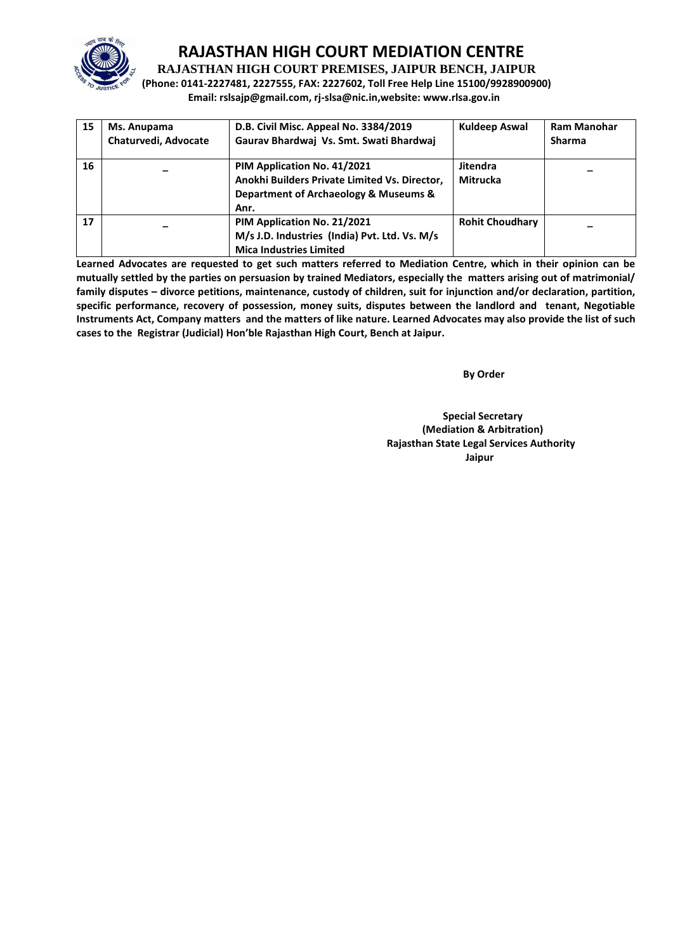

**RAJASTHAN HIGH COURT PREMISES, JAIPUR BENCH, JAIPUR**

**(Phone: 0141-2227481, 2227555, FAX: 2227602, Toll Free Help Line 15100/9928900900) Email: rslsajp@gmail.com, rj-slsa@nic.in,website: www.rlsa.gov.in**

| 15 | Ms. Anupama<br>Chaturvedi, Advocate | D.B. Civil Misc. Appeal No. 3384/2019<br>Gaurav Bhardwaj Vs. Smt. Swati Bhardwaj                                              | Kuldeep Aswal               | <b>Ram Manohar</b><br><b>Sharma</b> |
|----|-------------------------------------|-------------------------------------------------------------------------------------------------------------------------------|-----------------------------|-------------------------------------|
| 16 |                                     | PIM Application No. 41/2021<br>Anokhi Builders Private Limited Vs. Director,<br>Department of Archaeology & Museums &<br>Anr. | <b>Jitendra</b><br>Mitrucka |                                     |
| 17 |                                     | PIM Application No. 21/2021<br>M/s J.D. Industries (India) Pvt. Ltd. Vs. M/s<br><b>Mica Industries Limited</b>                | <b>Rohit Choudhary</b>      |                                     |

**Learned Advocates are requested to get such matters referred to Mediation Centre, which in their opinion can be mutually settled by the parties on persuasion by trained Mediators, especially the matters arising out of matrimonial/ family disputes – divorce petitions, maintenance, custody of children, suit for injunction and/or declaration, partition, specific performance, recovery of possession, money suits, disputes between the landlord and tenant, Negotiable Instruments Act, Company matters and the matters of like nature. Learned Advocates may also provide the list of such cases to the Registrar (Judicial) Hon'ble Rajasthan High Court, Bench at Jaipur.** 

**By Order** 

#### **Special Secretary (Mediation & Arbitration) Rajasthan State Legal Services Authority Jaipur**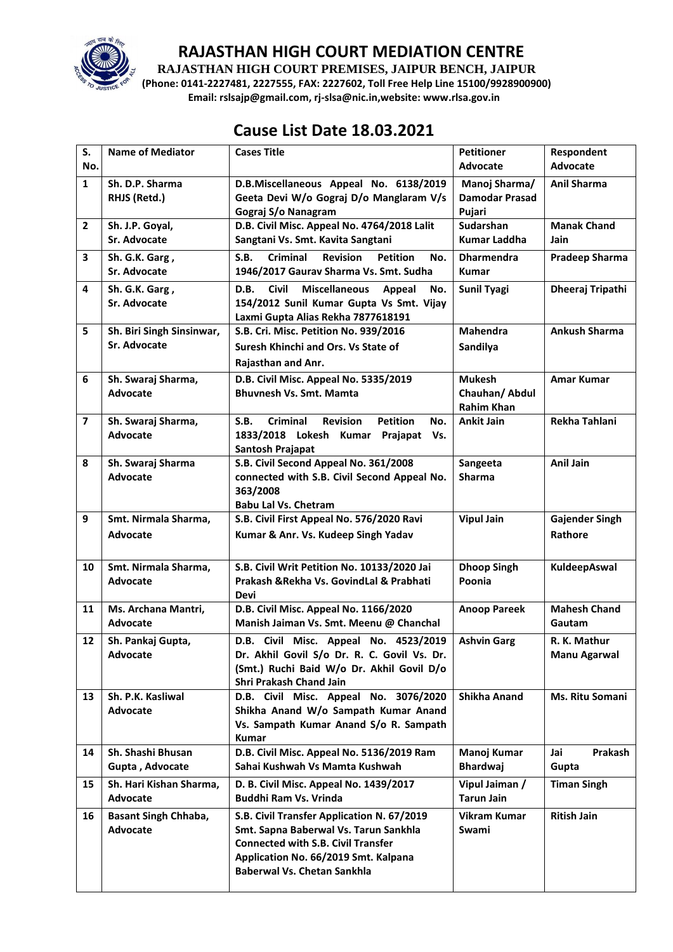

**RAJASTHAN HIGH COURT PREMISES, JAIPUR BENCH, JAIPUR**

**(Phone: 0141-2227481, 2227555, FAX: 2227602, Toll Free Help Line 15100/9928900900) Email: rslsajp@gmail.com, rj-slsa@nic.in,website: www.rlsa.gov.in**

# **Cause List Date 18.03.2021**

| S.                      | <b>Name of Mediator</b>                   | <b>Cases Title</b>                                                                                                                                                                                             | <b>Petitioner</b>                                   | Respondent                          |
|-------------------------|-------------------------------------------|----------------------------------------------------------------------------------------------------------------------------------------------------------------------------------------------------------------|-----------------------------------------------------|-------------------------------------|
| No.                     |                                           |                                                                                                                                                                                                                | <b>Advocate</b>                                     | Advocate                            |
| $\mathbf{1}$            | Sh. D.P. Sharma<br>RHJS (Retd.)           | D.B.Miscellaneous Appeal No. 6138/2019<br>Geeta Devi W/o Gograj D/o Manglaram V/s<br>Gograj S/o Nanagram                                                                                                       | Manoj Sharma/<br><b>Damodar Prasad</b><br>Pujari    | <b>Anil Sharma</b>                  |
| $\overline{2}$          | Sh. J.P. Goyal,<br>Sr. Advocate           | D.B. Civil Misc. Appeal No. 4764/2018 Lalit<br>Sangtani Vs. Smt. Kavita Sangtani                                                                                                                               | Sudarshan<br><b>Kumar Laddha</b>                    | <b>Manak Chand</b><br>Jain          |
| 3                       | Sh. G.K. Garg,<br>Sr. Advocate            | <b>Criminal</b><br><b>Revision</b><br>S.B.<br><b>Petition</b><br>No.<br>1946/2017 Gaurav Sharma Vs. Smt. Sudha                                                                                                 | <b>Dharmendra</b><br><b>Kumar</b>                   | <b>Pradeep Sharma</b>               |
| 4                       | Sh. G.K. Garg,<br>Sr. Advocate            | Civil<br>Miscellaneous Appeal<br>D.B.<br>No.<br>154/2012 Sunil Kumar Gupta Vs Smt. Vijay<br>Laxmi Gupta Alias Rekha 7877618191                                                                                 | <b>Sunil Tyagi</b>                                  | Dheeraj Tripathi                    |
| 5                       | Sh. Biri Singh Sinsinwar,<br>Sr. Advocate | S.B. Cri. Misc. Petition No. 939/2016<br>Suresh Khinchi and Ors. Vs State of<br>Rajasthan and Anr.                                                                                                             | <b>Mahendra</b><br>Sandilya                         | <b>Ankush Sharma</b>                |
| 6                       | Sh. Swaraj Sharma,<br>Advocate            | D.B. Civil Misc. Appeal No. 5335/2019<br><b>Bhuvnesh Vs. Smt. Mamta</b>                                                                                                                                        | <b>Mukesh</b><br>Chauhan/Abdul<br><b>Rahim Khan</b> | <b>Amar Kumar</b>                   |
| $\overline{\mathbf{z}}$ | Sh. Swaraj Sharma,<br><b>Advocate</b>     | <b>Petition</b><br>S.B.<br><b>Criminal</b><br><b>Revision</b><br>No.<br>1833/2018 Lokesh<br>Kumar Prajapat<br>Vs.<br><b>Santosh Prajapat</b>                                                                   | <b>Ankit Jain</b>                                   | <b>Rekha Tahlani</b>                |
| 8                       | Sh. Swaraj Sharma<br>Advocate             | S.B. Civil Second Appeal No. 361/2008<br>connected with S.B. Civil Second Appeal No.<br>363/2008<br><b>Babu Lal Vs. Chetram</b>                                                                                | Sangeeta<br><b>Sharma</b>                           | <b>Anil Jain</b>                    |
| 9                       | Smt. Nirmala Sharma,<br>Advocate          | S.B. Civil First Appeal No. 576/2020 Ravi<br>Kumar & Anr. Vs. Kudeep Singh Yadav                                                                                                                               | <b>Vipul Jain</b>                                   | <b>Gajender Singh</b><br>Rathore    |
| 10                      | Smt. Nirmala Sharma,<br>Advocate          | S.B. Civil Writ Petition No. 10133/2020 Jai<br>Prakash & Rekha Vs. Govind Lal & Prabhati<br>Devi                                                                                                               | <b>Dhoop Singh</b><br>Poonia                        | KuldeepAswal                        |
| 11                      | Ms. Archana Mantri,<br>Advocate           | D.B. Civil Misc. Appeal No. 1166/2020<br>Manish Jaiman Vs. Smt. Meenu @ Chanchal                                                                                                                               | <b>Anoop Pareek</b>                                 | <b>Mahesh Chand</b><br>Gautam       |
| 12                      | Sh. Pankaj Gupta,<br><b>Advocate</b>      | D.B. Civil Misc. Appeal No. 4523/2019<br>Dr. Akhil Govil S/o Dr. R. C. Govil Vs. Dr.<br>(Smt.) Ruchi Baid W/o Dr. Akhil Govil D/o<br><b>Shri Prakash Chand Jain</b>                                            | <b>Ashvin Garg</b>                                  | R. K. Mathur<br><b>Manu Agarwal</b> |
| 13                      | Sh. P.K. Kasliwal<br>Advocate             | D.B. Civil Misc. Appeal No. 3076/2020<br>Shikha Anand W/o Sampath Kumar Anand<br>Vs. Sampath Kumar Anand S/o R. Sampath<br><b>Kumar</b>                                                                        | <b>Shikha Anand</b>                                 | Ms. Ritu Somani                     |
| 14                      | Sh. Shashi Bhusan<br>Gupta, Advocate      | D.B. Civil Misc. Appeal No. 5136/2019 Ram<br>Sahai Kushwah Vs Mamta Kushwah                                                                                                                                    | Manoj Kumar<br><b>Bhardwaj</b>                      | Jai<br>Prakash<br>Gupta             |
| 15                      | Sh. Hari Kishan Sharma,<br>Advocate       | D. B. Civil Misc. Appeal No. 1439/2017<br>Buddhi Ram Vs. Vrinda                                                                                                                                                | Vipul Jaiman /<br><b>Tarun Jain</b>                 | <b>Timan Singh</b>                  |
| 16                      | <b>Basant Singh Chhaba,</b><br>Advocate   | S.B. Civil Transfer Application N. 67/2019<br>Smt. Sapna Baberwal Vs. Tarun Sankhla<br><b>Connected with S.B. Civil Transfer</b><br>Application No. 66/2019 Smt. Kalpana<br><b>Baberwal Vs. Chetan Sankhla</b> | <b>Vikram Kumar</b><br>Swami                        | <b>Ritish Jain</b>                  |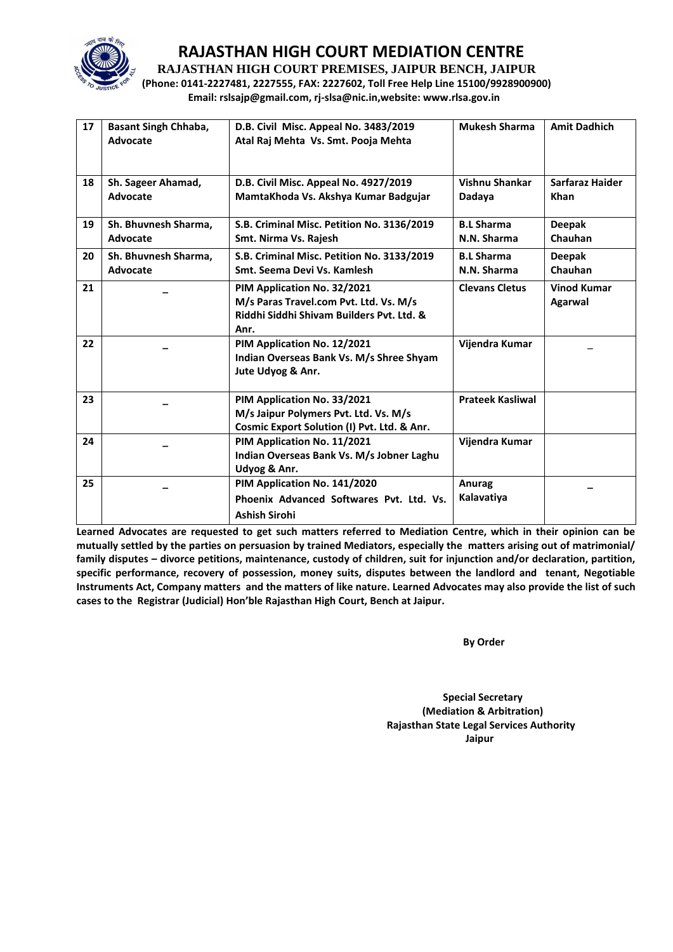

**RAJASTHAN HIGH COURT PREMISES, JAIPUR BENCH, JAIPUR**

**(Phone: 0141-2227481, 2227555, FAX: 2227602, Toll Free Help Line 15100/9928900900) Email: rslsajp@gmail.com, rj-slsa@nic.in,website: www.rlsa.gov.in**

| 17 | <b>Basant Singh Chhaba,</b><br>Advocate | D.B. Civil Misc. Appeal No. 3483/2019<br>Atal Raj Mehta Vs. Smt. Pooja Mehta                                               | <b>Mukesh Sharma</b>             | <b>Amit Dadhich</b>            |
|----|-----------------------------------------|----------------------------------------------------------------------------------------------------------------------------|----------------------------------|--------------------------------|
| 18 | Sh. Sageer Ahamad,<br>Advocate          | D.B. Civil Misc. Appeal No. 4927/2019<br>MamtaKhoda Vs. Akshya Kumar Badgujar                                              | Vishnu Shankar<br>Dadaya         | Sarfaraz Haider<br><b>Khan</b> |
| 19 | Sh. Bhuvnesh Sharma,<br>Advocate        | S.B. Criminal Misc. Petition No. 3136/2019<br>Smt. Nirma Vs. Rajesh                                                        | <b>B.L Sharma</b><br>N.N. Sharma | <b>Deepak</b><br>Chauhan       |
| 20 | Sh. Bhuvnesh Sharma,<br>Advocate        | S.B. Criminal Misc. Petition No. 3133/2019<br>Smt. Seema Devi Vs. Kamlesh                                                  | <b>B.L Sharma</b><br>N.N. Sharma | <b>Deepak</b><br>Chauhan       |
| 21 |                                         | PIM Application No. 32/2021<br>M/s Paras Travel.com Pvt. Ltd. Vs. M/s<br>Riddhi Siddhi Shiyam Builders Pyt. Ltd. &<br>Anr. | <b>Clevans Cletus</b>            | <b>Vinod Kumar</b><br>Agarwal  |
| 22 |                                         | PIM Application No. 12/2021<br>Indian Overseas Bank Vs. M/s Shree Shyam<br>Jute Udyog & Anr.                               | Vijendra Kumar                   |                                |
| 23 |                                         | PIM Application No. 33/2021<br>M/s Jaipur Polymers Pvt. Ltd. Vs. M/s<br>Cosmic Export Solution (I) Pvt. Ltd. & Anr.        | <b>Prateek Kasliwal</b>          |                                |
| 24 |                                         | PIM Application No. 11/2021<br>Indian Overseas Bank Vs. M/s Jobner Laghu<br>Udyog & Anr.                                   | Vijendra Kumar                   |                                |
| 25 |                                         | PIM Application No. 141/2020<br>Phoenix Advanced Softwares Pvt. Ltd. Vs.<br><b>Ashish Sirohi</b>                           | Anurag<br>Kalavatiya             |                                |

**Learned Advocates are requested to get such matters referred to Mediation Centre, which in their opinion can be mutually settled by the parties on persuasion by trained Mediators, especially the matters arising out of matrimonial/ family disputes – divorce petitions, maintenance, custody of children, suit for injunction and/or declaration, partition, specific performance, recovery of possession, money suits, disputes between the landlord and tenant, Negotiable Instruments Act, Company matters and the matters of like nature. Learned Advocates may also provide the list of such cases to the Registrar (Judicial) Hon'ble Rajasthan High Court, Bench at Jaipur.** 

**By Order** 

 **Special Secretary (Mediation & Arbitration) Rajasthan State Legal Services Authority Jaipur**